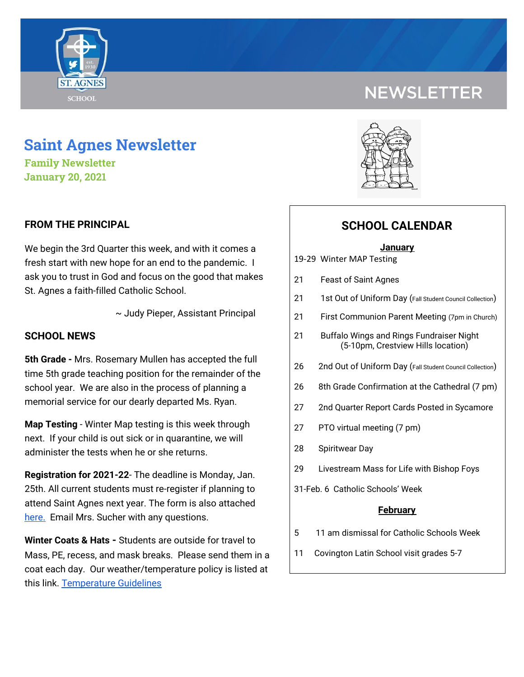

# **NEWSLETTER**

# **Saint Agnes Newsletter**

**Family Newsletter January 20, 2021**

# **FROM THE PRINCIPAL**

We begin the 3rd Quarter this week, and with it comes a fresh start with new hope for an end to the pandemic. I ask you to trust in God and focus on the good that makes St. Agnes a faith-filled Catholic School.

~ Judy Pieper, Assistant Principal

### **SCHOOL NEWS**

**5th Grade -** Mrs. Rosemary Mullen has accepted the full time 5th grade teaching position for the remainder of the school year. We are also in the process of planning a memorial service for our dearly departed Ms. Ryan.

**Map Testing** - Winter Map testing is this week through next. If your child is out sick or in quarantine, we will administer the tests when he or she returns.

**Registration for 2021-22**- The deadline is Monday, Jan. 25th. All current students must re-register if planning to attend Saint Agnes next year. The form is also attached [here.](https://school.saintagnes.com/wp-content/uploads/2021/01/Re-registration-form-21-22.pdf) Email Mrs. Sucher with any questions.

**Winter Coats & Hats -** Students are outside for travel to Mass, PE, recess, and mask breaks. Please send them in a coat each day. Our weather/temperature policy is listed at this link. [Temperature](https://drive.google.com/file/d/1sp3htqYQA4L7jHRHNvM-4rtPQl6qnq8F/view?usp=sharing) Guidelines



# **SCHOOL CALENDAR**

#### **January**

- 19-29 Winter MAP Testing
- 21 Feast of Saint Agnes
- 21 1st Out of Uniform Day (Fall Student Council Collection)
- 21 First Communion Parent Meeting (7pm in Church)
- 21 Buffalo Wings and Rings Fundraiser Night (5-10pm, Crestview Hills location)
- 26 2nd Out of Uniform Day (Fall Student Council Collection)
- 26 8th Grade Confirmation at the Cathedral (7 pm)
- 27 2nd Quarter Report Cards Posted in Sycamore
- 27 PTO virtual meeting (7 pm)
- 28 Spiritwear Day
- 29 Livestream Mass for Life with Bishop Foys
- 31-Feb. 6 Catholic Schools' Week

#### **February**

- 5 11 am dismissal for Catholic Schools Week
- 11 Covington Latin School visit grades 5-7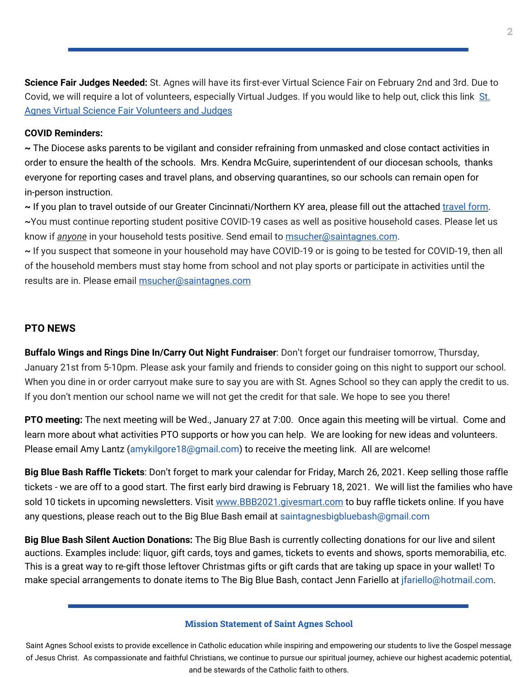**Science Fair Judges Needed:** St. Agnes will have its first-ever Virtual Science Fair on February 2nd and 3rd. Due to Covid, we will require a lot of volunteers, especially Virtual Judges. If you would like to help out, click this link [St.](https://signup.com/go/CEXWWEd) Agnes Virtual Science Fair [Volunteers](https://signup.com/go/CEXWWEd) and Judges

### **COVID Reminders:**

**~** The Diocese asks parents to be vigilant and consider refraining from unmasked and close contact activities in order to ensure the health of the schools. Mrs. Kendra McGuire, superintendent of our diocesan schools, thanks everyone for reporting cases and travel plans, and observing quarantines, so our schools can remain open for in-person instruction.

~ If you plan to [travel](https://docs.google.com/forms/d/1G4JmfFWk29Sxg_3O81r5EB0F7IYJyTofEAGJ9wd5aO4/edit?ts=5f985dbb&gxids=7628) outside of our Greater Cincinnati/Northern KY area, please fill out the attached travel form. **~**You must continue reporting student positive COVID-19 cases as well as positive household cases. Please let us know if *anyone* in your household tests positive. Send email to [msucher@saintagnes.com](mailto:msucher@saintagnes.com).

**~** If you suspect that someone in your household may have COVID-19 or is going to be tested for COVID-19, then all of the household members must stay home from school and not play sports or participate in activities until the results are in. Please email **[msucher@saintagnes.com](mailto:msucher@saintagnes.com)** 

# **PTO NEWS**

**Buffalo Wings and Rings Dine In/Carry Out Night Fundraiser**: Don't forget our fundraiser tomorrow, Thursday, January 21st from 5-10pm. Please ask your family and friends to consider going on this night to support our school. When you dine in or order carryout make sure to say you are with St. Agnes School so they can apply the credit to us. If you don't mention our school name we will not get the credit for that sale. We hope to see you there!

**PTO meeting:** The next meeting will be Wed., January 27 at 7:00. Once again this meeting will be virtual. Come and learn more about what activities PTO supports or how you can help. We are looking for new ideas and volunteers. Please email Amy Lantz (amykilgore18@gmail.com) to receive the meeting link. All are welcome!

**Big Blue Bash Raffle Tickets**: Don't forget to mark your calendar for Friday, March 26, 2021. Keep selling those raffle tickets - we are off to a good start. The first early bird drawing is February 18, 2021. We will list the families who have sold 10 tickets in upcoming newsletters. Visit [www.BBB2021.givesmart.com](http://www.bbb2021.givesmart.com/) to buy raffle tickets online. If you have any questions, please reach out to the Big Blue Bash email at saintagnesbigbluebash@gmail.com

**Big Blue Bash Silent Auction Donations:** The Big Blue Bash is currently collecting donations for our live and silent auctions. Examples include: liquor, gift cards, toys and games, tickets to events and shows, sports memorabilia, etc. This is a great way to re-gift those leftover Christmas gifts or gift cards that are taking up space in your wallet! To make special arrangements to donate items to The Big Blue Bash, contact Jenn Fariello at jfariello@hotmail.com.

#### **Mission Statement of Saint Agnes School**

Saint Agnes School exists to provide excellence in Catholic education while inspiring and empowering our students to live the Gospel message of Jesus Christ. As compassionate and faithful Christians, we continue to pursue our spiritual journey, achieve our highest academic potential, and be stewards of the Catholic faith to others.